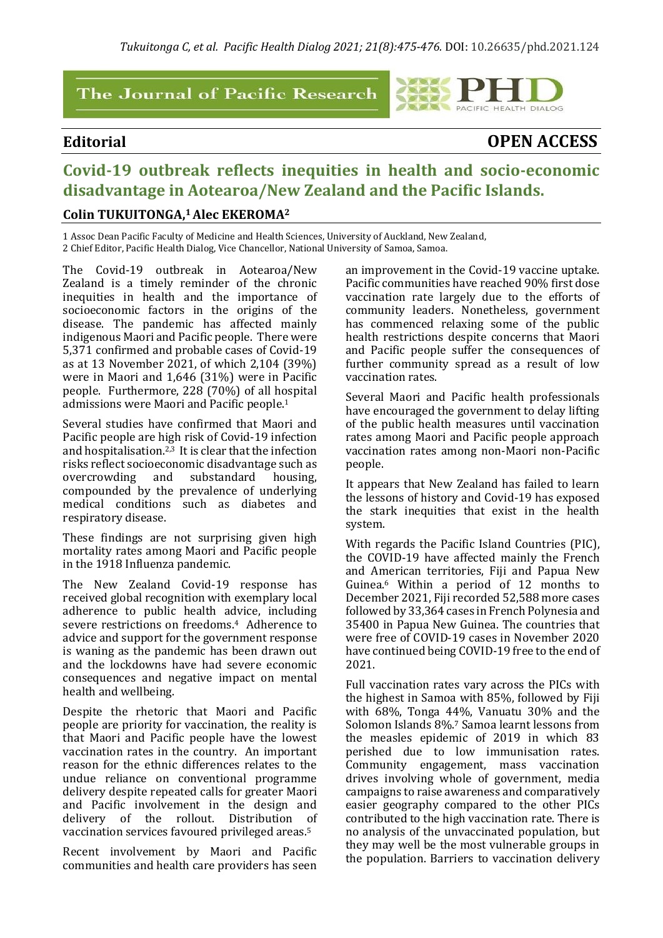### The Journal of Pacific Research

# PACIFIC HEALTH DIALOG

# **Editorial OPEN ACCESS**

# **Covid-19 outbreak reflects inequities in health and socio-economic disadvantage in Aotearoa/New Zealand and the Pacific Islands.**

#### **Colin TUKUITONGA, <sup>1</sup>Alec EKEROMA<sup>2</sup>**

1 Assoc Dean Pacific Faculty of Medicine and Health Sciences, University of Auckland, New Zealand, 2 Chief Editor, Pacific Health Dialog, Vice Chancellor, National University of Samoa, Samoa.

The Covid-19 outbreak in Aotearoa/New Zealand is a timely reminder of the chronic inequities in health and the importance of socioeconomic factors in the origins of the disease. The pandemic has affected mainly indigenous Maori and Pacific people. There were 5,371 confirmed and probable cases of Covid-19 as at 13 November 2021, of which 2,104 (39%) were in Maori and 1,646 (31%) were in Pacific people. Furthermore, 228 (70%) of all hospital admissions were Maori and Pacific people.<sup>1</sup>

Several studies have confirmed that Maori and Pacific people are high risk of Covid-19 infection and hospitalisation.<sup>2,3</sup> It is clear that the infection risks reflect socioeconomic disadvantage such as overcrowding and substandard housing, compounded by the prevalence of underlying medical conditions such as diabetes and respiratory disease.

These findings are not surprising given high mortality rates among Maori and Pacific people in the 1918 Influenza pandemic.

The New Zealand Covid-19 response has received global recognition with exemplary local adherence to public health advice, including severe restrictions on freedoms.4 Adherence to advice and support for the government response is waning as the pandemic has been drawn out and the lockdowns have had severe economic consequences and negative impact on mental health and wellbeing.

Despite the rhetoric that Maori and Pacific people are priority for vaccination, the reality is that Maori and Pacific people have the lowest vaccination rates in the country. An important reason for the ethnic differences relates to the undue reliance on conventional programme delivery despite repeated calls for greater Maori and Pacific involvement in the design and delivery of the rollout. Distribution of vaccination services favoured privileged areas.<sup>5</sup>

Recent involvement by Maori and Pacific communities and health care providers has seen

an improvement in the Covid-19 vaccine uptake. Pacific communities have reached 90% first dose vaccination rate largely due to the efforts of community leaders. Nonetheless, government has commenced relaxing some of the public health restrictions despite concerns that Maori and Pacific people suffer the consequences of further community spread as a result of low vaccination rates.

Several Maori and Pacific health professionals have encouraged the government to delay lifting of the public health measures until vaccination rates among Maori and Pacific people approach vaccination rates among non-Maori non-Pacific people.

It appears that New Zealand has failed to learn the lessons of history and Covid-19 has exposed the stark inequities that exist in the health system.

With regards the Pacific Island Countries (PIC), the COVID-19 have affected mainly the French and American territories, Fiji and Papua New Guinea.<sup>6</sup> Within a period of 12 months to December 2021, Fiji recorded 52,588 more cases followed by 33,364 cases in French Polynesia and 35400 in Papua New Guinea. The countries that were free of COVID-19 cases in November 2020 have continued being COVID-19 free to the end of 2021.

Full vaccination rates vary across the PICs with the highest in Samoa with 85%, followed by Fiji with 68%, Tonga 44%, Vanuatu 30% and the Solomon Islands 8%.<sup>7</sup> Samoa learnt lessons from the measles epidemic of 2019 in which 83 perished due to low immunisation rates. Community engagement, mass vaccination drives involving whole of government, media campaigns to raise awareness and comparatively easier geography compared to the other PICs contributed to the high vaccination rate. There is no analysis of the unvaccinated population, but they may well be the most vulnerable groups in the population. Barriers to vaccination delivery